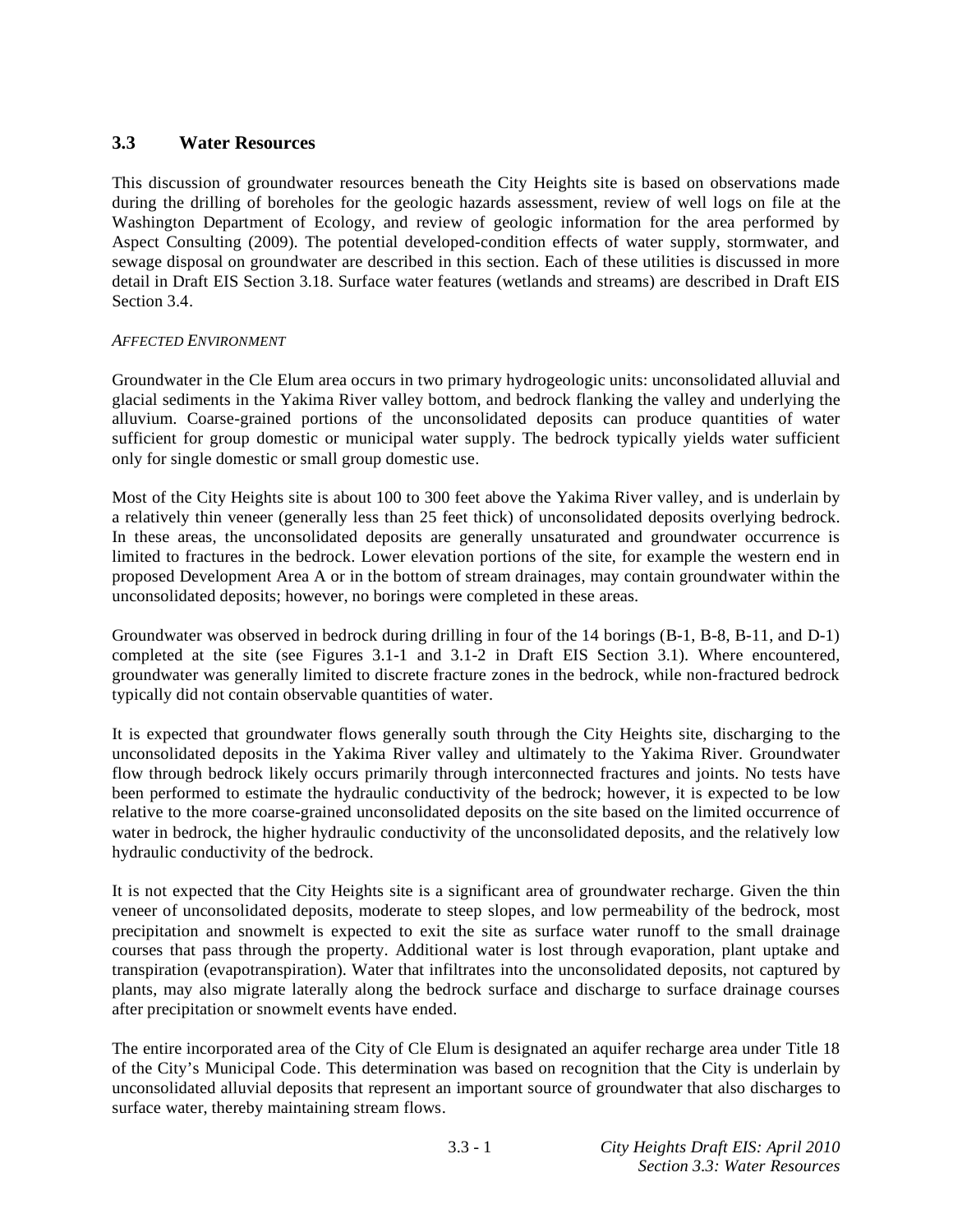# **3.3 Water Resources**

This discussion of groundwater resources beneath the City Heights site is based on observations made during the drilling of boreholes for the geologic hazards assessment, review of well logs on file at the Washington Department of Ecology, and review of geologic information for the area performed by Aspect Consulting (2009). The potential developed-condition effects of water supply, stormwater, and sewage disposal on groundwater are described in this section. Each of these utilities is discussed in more detail in Draft EIS Section 3.18. Surface water features (wetlands and streams) are described in Draft EIS Section 3.4.

## *AFFECTED ENVIRONMENT*

Groundwater in the Cle Elum area occurs in two primary hydrogeologic units: unconsolidated alluvial and glacial sediments in the Yakima River valley bottom, and bedrock flanking the valley and underlying the alluvium. Coarse-grained portions of the unconsolidated deposits can produce quantities of water sufficient for group domestic or municipal water supply. The bedrock typically yields water sufficient only for single domestic or small group domestic use.

Most of the City Heights site is about 100 to 300 feet above the Yakima River valley, and is underlain by a relatively thin veneer (generally less than 25 feet thick) of unconsolidated deposits overlying bedrock. In these areas, the unconsolidated deposits are generally unsaturated and groundwater occurrence is limited to fractures in the bedrock. Lower elevation portions of the site, for example the western end in proposed Development Area A or in the bottom of stream drainages, may contain groundwater within the unconsolidated deposits; however, no borings were completed in these areas.

Groundwater was observed in bedrock during drilling in four of the 14 borings (B-1, B-8, B-11, and D-1) completed at the site (see Figures 3.1-1 and 3.1-2 in Draft EIS Section 3.1). Where encountered, groundwater was generally limited to discrete fracture zones in the bedrock, while non-fractured bedrock typically did not contain observable quantities of water.

It is expected that groundwater flows generally south through the City Heights site, discharging to the unconsolidated deposits in the Yakima River valley and ultimately to the Yakima River. Groundwater flow through bedrock likely occurs primarily through interconnected fractures and joints. No tests have been performed to estimate the hydraulic conductivity of the bedrock; however, it is expected to be low relative to the more coarse-grained unconsolidated deposits on the site based on the limited occurrence of water in bedrock, the higher hydraulic conductivity of the unconsolidated deposits, and the relatively low hydraulic conductivity of the bedrock.

It is not expected that the City Heights site is a significant area of groundwater recharge. Given the thin veneer of unconsolidated deposits, moderate to steep slopes, and low permeability of the bedrock, most precipitation and snowmelt is expected to exit the site as surface water runoff to the small drainage courses that pass through the property. Additional water is lost through evaporation, plant uptake and transpiration (evapotranspiration). Water that infiltrates into the unconsolidated deposits, not captured by plants, may also migrate laterally along the bedrock surface and discharge to surface drainage courses after precipitation or snowmelt events have ended.

The entire incorporated area of the City of Cle Elum is designated an aquifer recharge area under Title 18 of the City's Municipal Code. This determination was based on recognition that the City is underlain by unconsolidated alluvial deposits that represent an important source of groundwater that also discharges to surface water, thereby maintaining stream flows.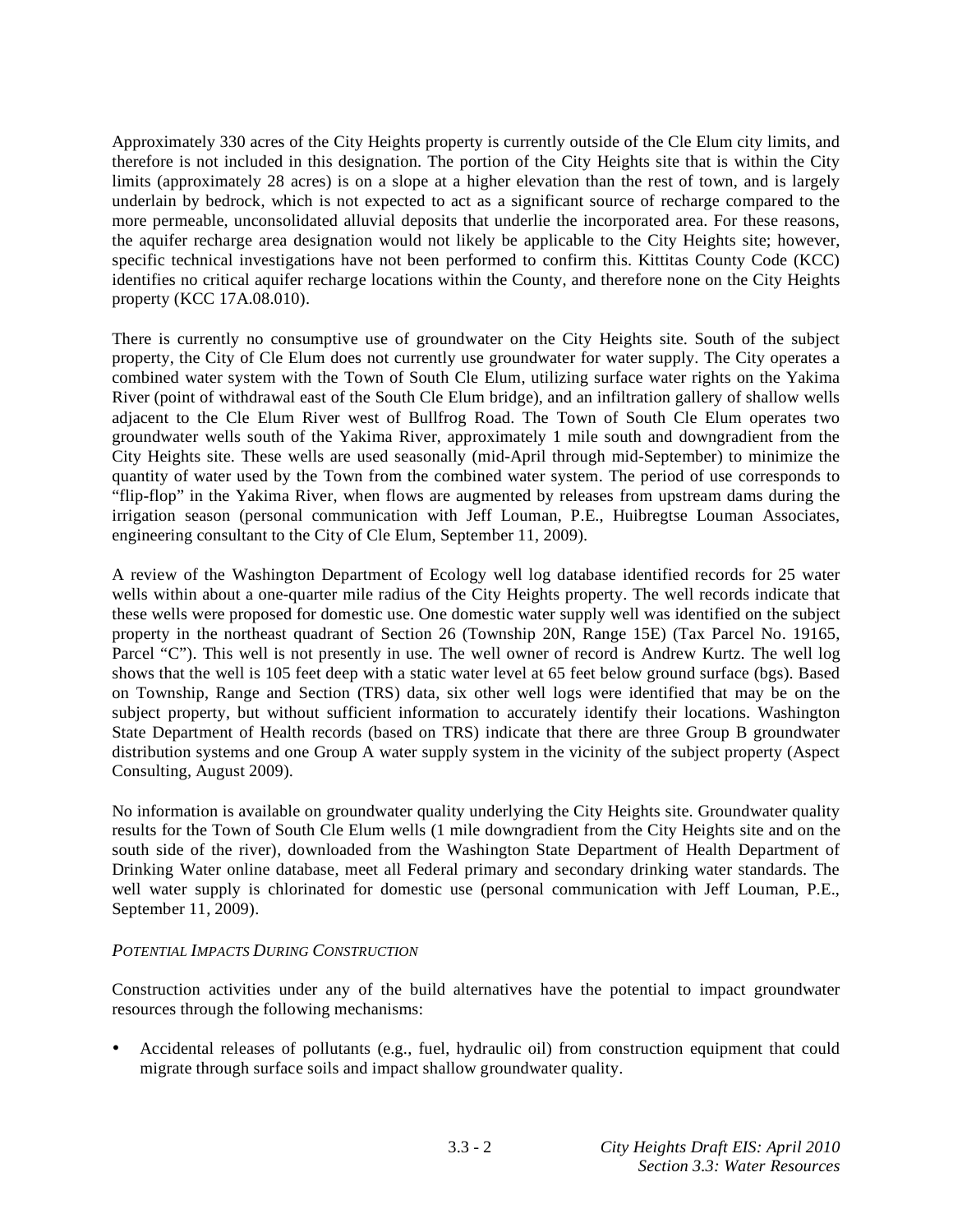Approximately 330 acres of the City Heights property is currently outside of the Cle Elum city limits, and therefore is not included in this designation. The portion of the City Heights site that is within the City limits (approximately 28 acres) is on a slope at a higher elevation than the rest of town, and is largely underlain by bedrock, which is not expected to act as a significant source of recharge compared to the more permeable, unconsolidated alluvial deposits that underlie the incorporated area. For these reasons, the aquifer recharge area designation would not likely be applicable to the City Heights site; however, specific technical investigations have not been performed to confirm this. Kittitas County Code (KCC) identifies no critical aquifer recharge locations within the County, and therefore none on the City Heights property (KCC 17A.08.010).

There is currently no consumptive use of groundwater on the City Heights site. South of the subject property, the City of Cle Elum does not currently use groundwater for water supply. The City operates a combined water system with the Town of South Cle Elum, utilizing surface water rights on the Yakima River (point of withdrawal east of the South Cle Elum bridge), and an infiltration gallery of shallow wells adjacent to the Cle Elum River west of Bullfrog Road. The Town of South Cle Elum operates two groundwater wells south of the Yakima River, approximately 1 mile south and downgradient from the City Heights site. These wells are used seasonally (mid-April through mid-September) to minimize the quantity of water used by the Town from the combined water system. The period of use corresponds to "flip-flop" in the Yakima River, when flows are augmented by releases from upstream dams during the irrigation season (personal communication with Jeff Louman, P.E., Huibregtse Louman Associates, engineering consultant to the City of Cle Elum, September 11, 2009).

A review of the Washington Department of Ecology well log database identified records for 25 water wells within about a one-quarter mile radius of the City Heights property. The well records indicate that these wells were proposed for domestic use. One domestic water supply well was identified on the subject property in the northeast quadrant of Section 26 (Township 20N, Range 15E) (Tax Parcel No. 19165, Parcel "C"). This well is not presently in use. The well owner of record is Andrew Kurtz. The well log shows that the well is 105 feet deep with a static water level at 65 feet below ground surface (bgs). Based on Township, Range and Section (TRS) data, six other well logs were identified that may be on the subject property, but without sufficient information to accurately identify their locations. Washington State Department of Health records (based on TRS) indicate that there are three Group B groundwater distribution systems and one Group A water supply system in the vicinity of the subject property (Aspect Consulting, August 2009).

No information is available on groundwater quality underlying the City Heights site. Groundwater quality results for the Town of South Cle Elum wells (1 mile downgradient from the City Heights site and on the south side of the river), downloaded from the Washington State Department of Health Department of Drinking Water online database, meet all Federal primary and secondary drinking water standards. The well water supply is chlorinated for domestic use (personal communication with Jeff Louman, P.E., September 11, 2009).

## *POTENTIAL IMPACTS DURING CONSTRUCTION*

Construction activities under any of the build alternatives have the potential to impact groundwater resources through the following mechanisms:

• Accidental releases of pollutants (e.g., fuel, hydraulic oil) from construction equipment that could migrate through surface soils and impact shallow groundwater quality.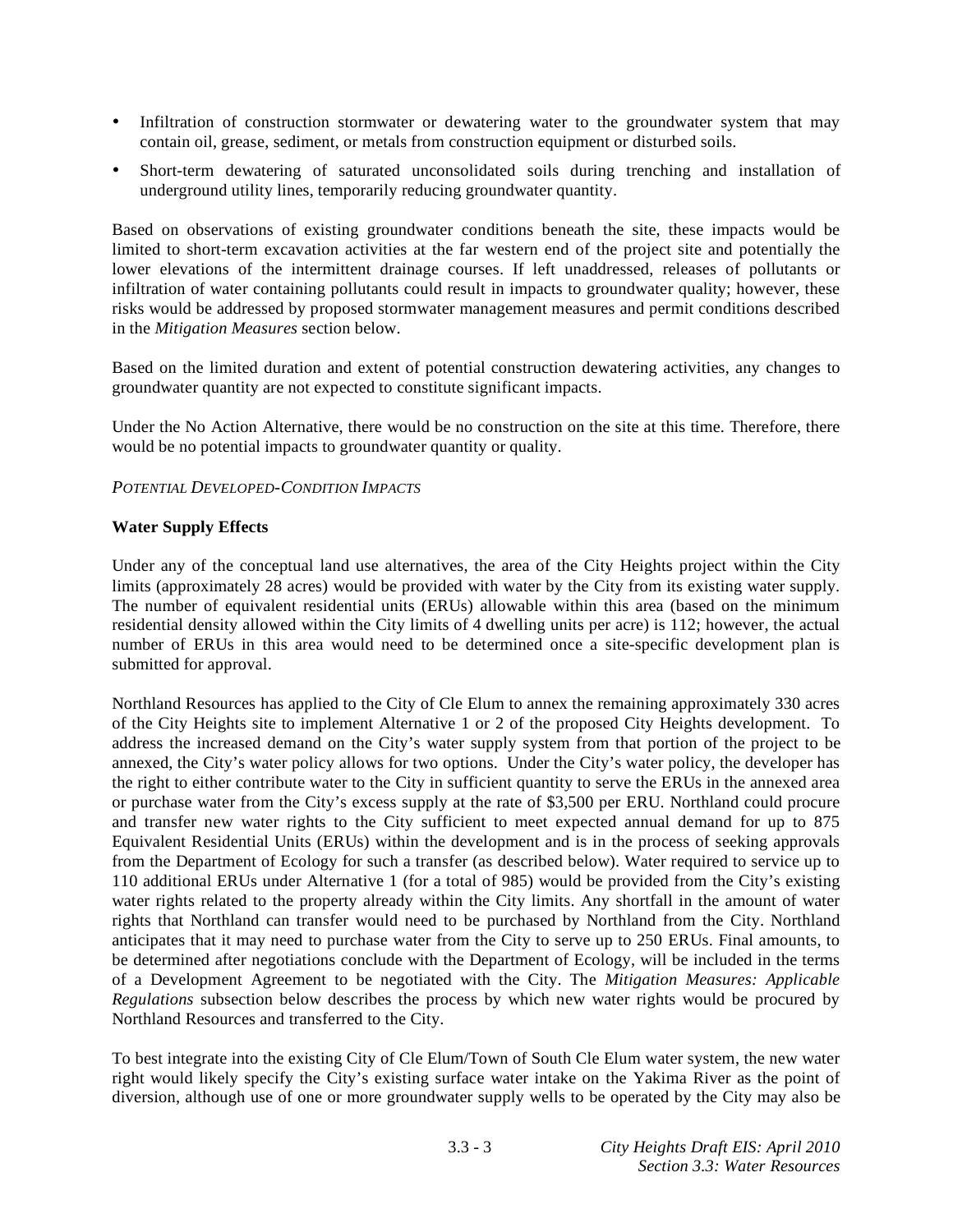- Infiltration of construction stormwater or dewatering water to the groundwater system that may contain oil, grease, sediment, or metals from construction equipment or disturbed soils.
- Short-term dewatering of saturated unconsolidated soils during trenching and installation of underground utility lines, temporarily reducing groundwater quantity.

Based on observations of existing groundwater conditions beneath the site, these impacts would be limited to short-term excavation activities at the far western end of the project site and potentially the lower elevations of the intermittent drainage courses. If left unaddressed, releases of pollutants or infiltration of water containing pollutants could result in impacts to groundwater quality; however, these risks would be addressed by proposed stormwater management measures and permit conditions described in the *Mitigation Measures* section below.

Based on the limited duration and extent of potential construction dewatering activities, any changes to groundwater quantity are not expected to constitute significant impacts.

Under the No Action Alternative, there would be no construction on the site at this time. Therefore, there would be no potential impacts to groundwater quantity or quality.

## *POTENTIAL DEVELOPED-CONDITION IMPACTS*

## **Water Supply Effects**

Under any of the conceptual land use alternatives, the area of the City Heights project within the City limits (approximately 28 acres) would be provided with water by the City from its existing water supply. The number of equivalent residential units (ERUs) allowable within this area (based on the minimum residential density allowed within the City limits of 4 dwelling units per acre) is 112; however, the actual number of ERUs in this area would need to be determined once a site-specific development plan is submitted for approval.

Northland Resources has applied to the City of Cle Elum to annex the remaining approximately 330 acres of the City Heights site to implement Alternative 1 or 2 of the proposed City Heights development. To address the increased demand on the City's water supply system from that portion of the project to be annexed, the City's water policy allows for two options. Under the City's water policy, the developer has the right to either contribute water to the City in sufficient quantity to serve the ERUs in the annexed area or purchase water from the City's excess supply at the rate of \$3,500 per ERU. Northland could procure and transfer new water rights to the City sufficient to meet expected annual demand for up to 875 Equivalent Residential Units (ERUs) within the development and is in the process of seeking approvals from the Department of Ecology for such a transfer (as described below). Water required to service up to 110 additional ERUs under Alternative 1 (for a total of 985) would be provided from the City's existing water rights related to the property already within the City limits. Any shortfall in the amount of water rights that Northland can transfer would need to be purchased by Northland from the City. Northland anticipates that it may need to purchase water from the City to serve up to 250 ERUs. Final amounts, to be determined after negotiations conclude with the Department of Ecology, will be included in the terms of a Development Agreement to be negotiated with the City. The *Mitigation Measures: Applicable Regulations* subsection below describes the process by which new water rights would be procured by Northland Resources and transferred to the City.

To best integrate into the existing City of Cle Elum/Town of South Cle Elum water system, the new water right would likely specify the City's existing surface water intake on the Yakima River as the point of diversion, although use of one or more groundwater supply wells to be operated by the City may also be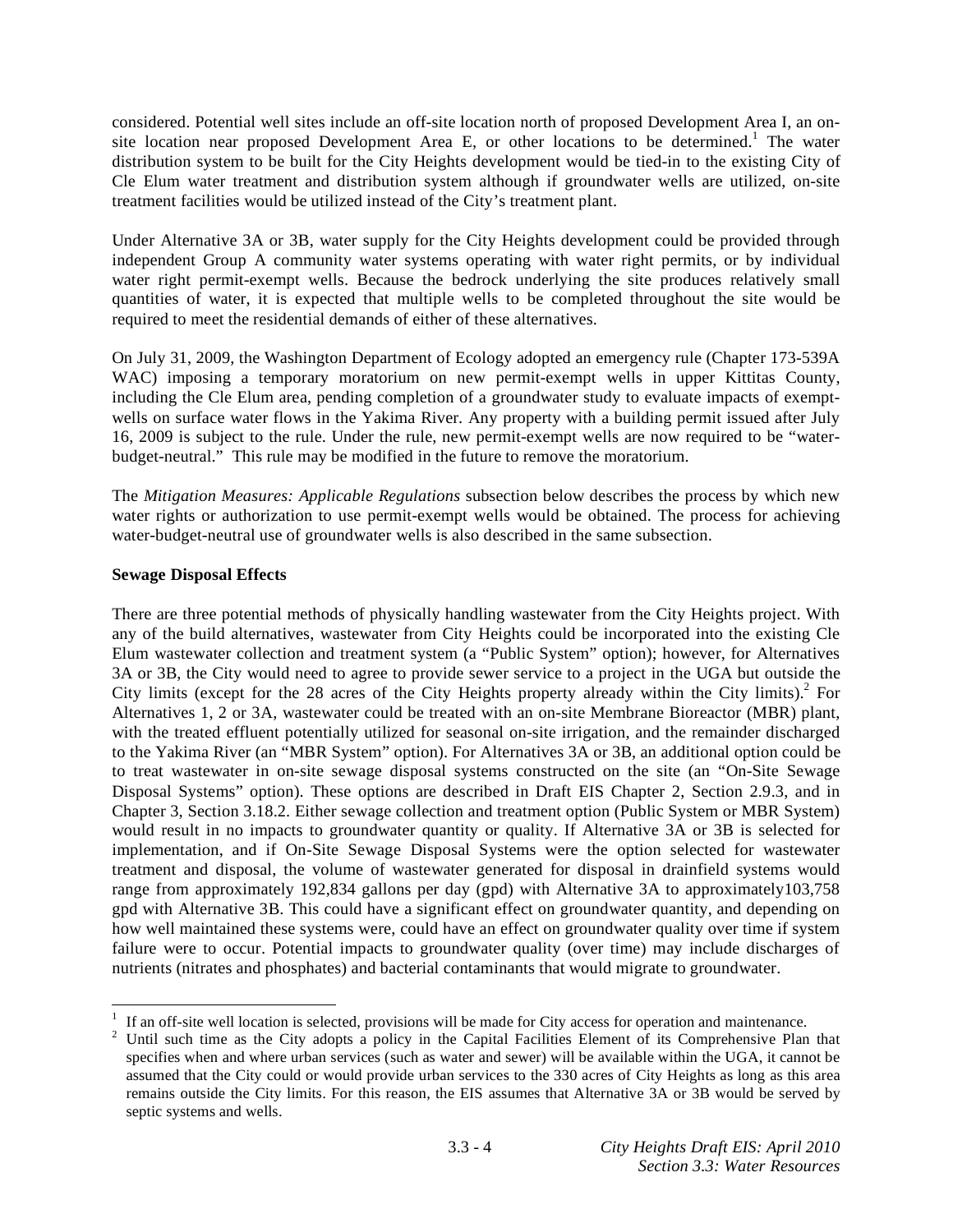considered. Potential well sites include an off-site location north of proposed Development Area I, an onsite location near proposed Development Area E, or other locations to be determined.<sup>1</sup> The water distribution system to be built for the City Heights development would be tied-in to the existing City of Cle Elum water treatment and distribution system although if groundwater wells are utilized, on-site treatment facilities would be utilized instead of the City's treatment plant.

Under Alternative 3A or 3B, water supply for the City Heights development could be provided through independent Group A community water systems operating with water right permits, or by individual water right permit-exempt wells. Because the bedrock underlying the site produces relatively small quantities of water, it is expected that multiple wells to be completed throughout the site would be required to meet the residential demands of either of these alternatives.

On July 31, 2009, the Washington Department of Ecology adopted an emergency rule (Chapter 173-539A WAC) imposing a temporary moratorium on new permit-exempt wells in upper Kittitas County, including the Cle Elum area, pending completion of a groundwater study to evaluate impacts of exemptwells on surface water flows in the Yakima River. Any property with a building permit issued after July 16, 2009 is subject to the rule. Under the rule, new permit-exempt wells are now required to be "waterbudget-neutral." This rule may be modified in the future to remove the moratorium.

The *Mitigation Measures: Applicable Regulations* subsection below describes the process by which new water rights or authorization to use permit-exempt wells would be obtained. The process for achieving water-budget-neutral use of groundwater wells is also described in the same subsection.

## **Sewage Disposal Effects**

 $\overline{a}$ 

There are three potential methods of physically handling wastewater from the City Heights project. With any of the build alternatives, wastewater from City Heights could be incorporated into the existing Cle Elum wastewater collection and treatment system (a "Public System" option); however, for Alternatives 3A or 3B, the City would need to agree to provide sewer service to a project in the UGA but outside the City limits (except for the 28 acres of the City Heights property already within the City limits).<sup>2</sup> For Alternatives 1, 2 or 3A, wastewater could be treated with an on-site Membrane Bioreactor (MBR) plant, with the treated effluent potentially utilized for seasonal on-site irrigation, and the remainder discharged to the Yakima River (an "MBR System" option). For Alternatives 3A or 3B, an additional option could be to treat wastewater in on-site sewage disposal systems constructed on the site (an "On-Site Sewage Disposal Systems" option). These options are described in Draft EIS Chapter 2, Section 2.9.3, and in Chapter 3, Section 3.18.2. Either sewage collection and treatment option (Public System or MBR System) would result in no impacts to groundwater quantity or quality. If Alternative 3A or 3B is selected for implementation, and if On-Site Sewage Disposal Systems were the option selected for wastewater treatment and disposal, the volume of wastewater generated for disposal in drainfield systems would range from approximately 192,834 gallons per day (gpd) with Alternative 3A to approximately103,758 gpd with Alternative 3B. This could have a significant effect on groundwater quantity, and depending on how well maintained these systems were, could have an effect on groundwater quality over time if system failure were to occur. Potential impacts to groundwater quality (over time) may include discharges of nutrients (nitrates and phosphates) and bacterial contaminants that would migrate to groundwater.

<sup>1</sup> If an off-site well location is selected, provisions will be made for City access for operation and maintenance.

<sup>2</sup> Until such time as the City adopts a policy in the Capital Facilities Element of its Comprehensive Plan that specifies when and where urban services (such as water and sewer) will be available within the UGA, it cannot be assumed that the City could or would provide urban services to the 330 acres of City Heights as long as this area remains outside the City limits. For this reason, the EIS assumes that Alternative 3A or 3B would be served by septic systems and wells.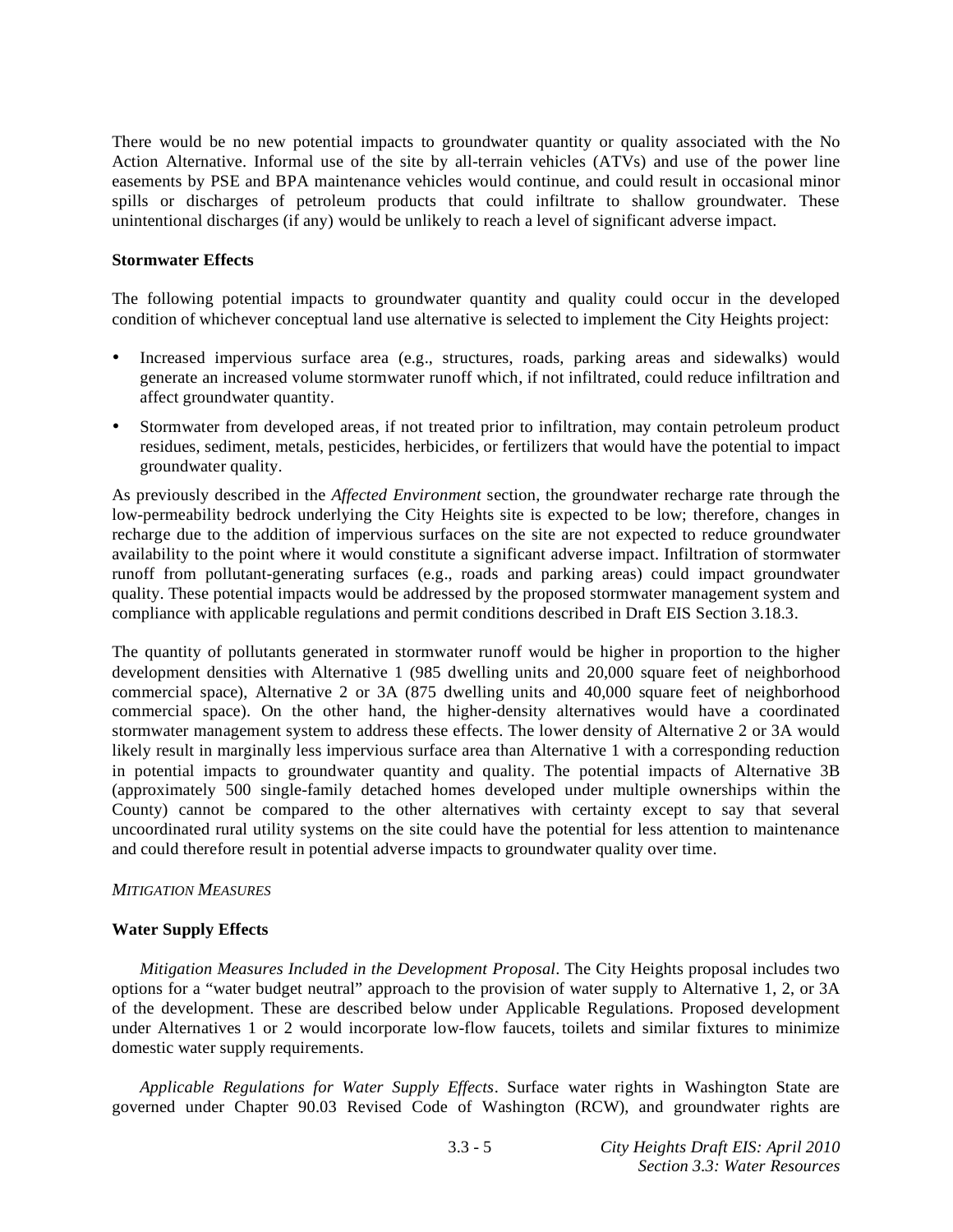There would be no new potential impacts to groundwater quantity or quality associated with the No Action Alternative. Informal use of the site by all-terrain vehicles (ATVs) and use of the power line easements by PSE and BPA maintenance vehicles would continue, and could result in occasional minor spills or discharges of petroleum products that could infiltrate to shallow groundwater. These unintentional discharges (if any) would be unlikely to reach a level of significant adverse impact.

### **Stormwater Effects**

The following potential impacts to groundwater quantity and quality could occur in the developed condition of whichever conceptual land use alternative is selected to implement the City Heights project:

- Increased impervious surface area (e.g., structures, roads, parking areas and sidewalks) would generate an increased volume stormwater runoff which, if not infiltrated, could reduce infiltration and affect groundwater quantity.
- Stormwater from developed areas, if not treated prior to infiltration, may contain petroleum product residues, sediment, metals, pesticides, herbicides, or fertilizers that would have the potential to impact groundwater quality.

As previously described in the *Affected Environment* section, the groundwater recharge rate through the low-permeability bedrock underlying the City Heights site is expected to be low; therefore, changes in recharge due to the addition of impervious surfaces on the site are not expected to reduce groundwater availability to the point where it would constitute a significant adverse impact. Infiltration of stormwater runoff from pollutant-generating surfaces (e.g., roads and parking areas) could impact groundwater quality. These potential impacts would be addressed by the proposed stormwater management system and compliance with applicable regulations and permit conditions described in Draft EIS Section 3.18.3.

The quantity of pollutants generated in stormwater runoff would be higher in proportion to the higher development densities with Alternative 1 (985 dwelling units and 20,000 square feet of neighborhood commercial space), Alternative 2 or 3A (875 dwelling units and 40,000 square feet of neighborhood commercial space). On the other hand, the higher-density alternatives would have a coordinated stormwater management system to address these effects. The lower density of Alternative 2 or 3A would likely result in marginally less impervious surface area than Alternative 1 with a corresponding reduction in potential impacts to groundwater quantity and quality. The potential impacts of Alternative 3B (approximately 500 single-family detached homes developed under multiple ownerships within the County) cannot be compared to the other alternatives with certainty except to say that several uncoordinated rural utility systems on the site could have the potential for less attention to maintenance and could therefore result in potential adverse impacts to groundwater quality over time.

## *MITIGATION MEASURES*

## **Water Supply Effects**

*Mitigation Measures Included in the Development Proposal*. The City Heights proposal includes two options for a "water budget neutral" approach to the provision of water supply to Alternative 1, 2, or 3A of the development. These are described below under Applicable Regulations. Proposed development under Alternatives 1 or 2 would incorporate low-flow faucets, toilets and similar fixtures to minimize domestic water supply requirements.

*Applicable Regulations for Water Supply Effects*. Surface water rights in Washington State are governed under Chapter 90.03 Revised Code of Washington (RCW), and groundwater rights are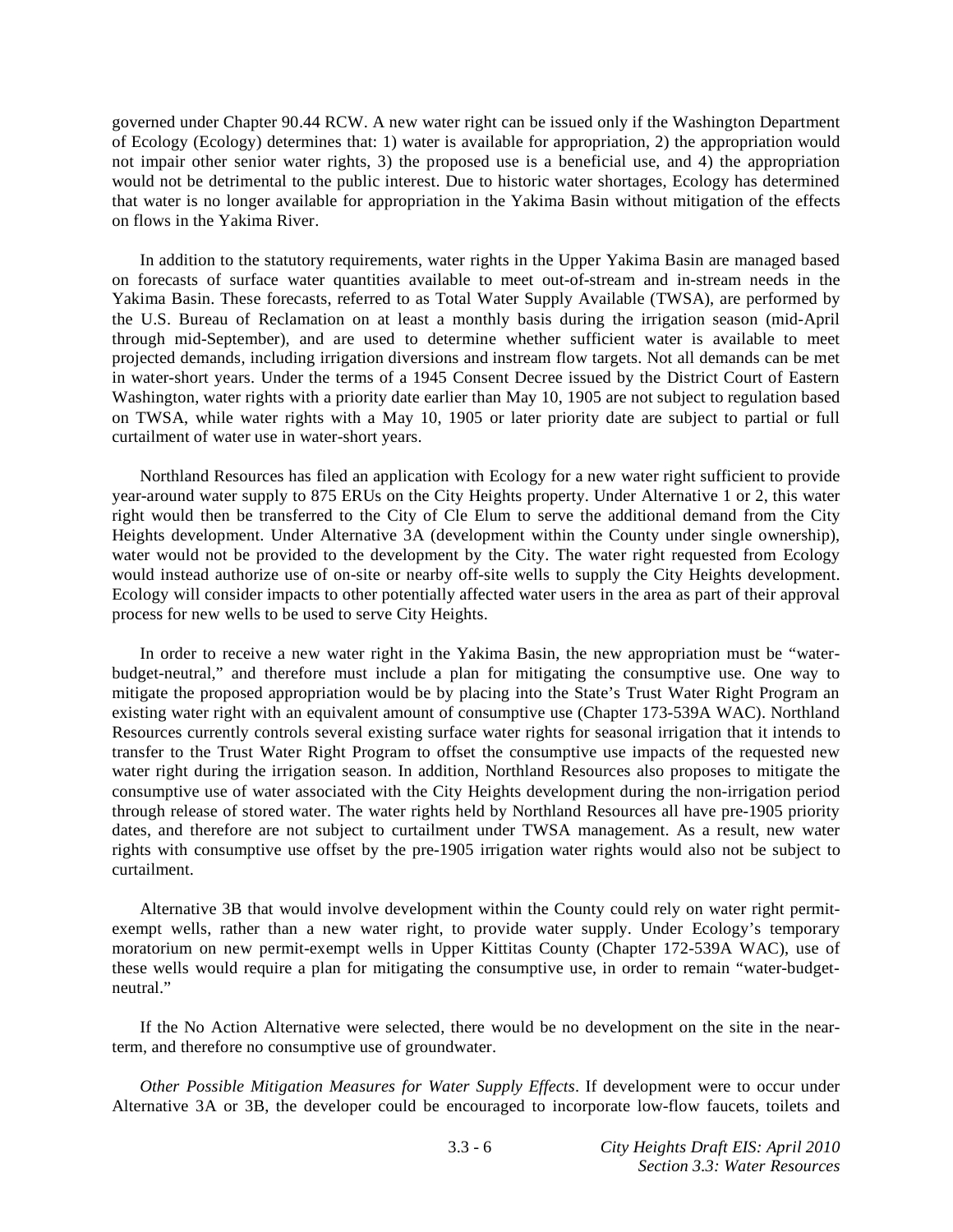governed under Chapter 90.44 RCW. A new water right can be issued only if the Washington Department of Ecology (Ecology) determines that: 1) water is available for appropriation, 2) the appropriation would not impair other senior water rights, 3) the proposed use is a beneficial use, and 4) the appropriation would not be detrimental to the public interest. Due to historic water shortages, Ecology has determined that water is no longer available for appropriation in the Yakima Basin without mitigation of the effects on flows in the Yakima River.

 In addition to the statutory requirements, water rights in the Upper Yakima Basin are managed based on forecasts of surface water quantities available to meet out-of-stream and in-stream needs in the Yakima Basin. These forecasts, referred to as Total Water Supply Available (TWSA), are performed by the U.S. Bureau of Reclamation on at least a monthly basis during the irrigation season (mid-April through mid-September), and are used to determine whether sufficient water is available to meet projected demands, including irrigation diversions and instream flow targets. Not all demands can be met in water-short years. Under the terms of a 1945 Consent Decree issued by the District Court of Eastern Washington, water rights with a priority date earlier than May 10, 1905 are not subject to regulation based on TWSA, while water rights with a May 10, 1905 or later priority date are subject to partial or full curtailment of water use in water-short years.

 Northland Resources has filed an application with Ecology for a new water right sufficient to provide year-around water supply to 875 ERUs on the City Heights property. Under Alternative 1 or 2, this water right would then be transferred to the City of Cle Elum to serve the additional demand from the City Heights development. Under Alternative 3A (development within the County under single ownership), water would not be provided to the development by the City. The water right requested from Ecology would instead authorize use of on-site or nearby off-site wells to supply the City Heights development. Ecology will consider impacts to other potentially affected water users in the area as part of their approval process for new wells to be used to serve City Heights.

 In order to receive a new water right in the Yakima Basin, the new appropriation must be "waterbudget-neutral," and therefore must include a plan for mitigating the consumptive use. One way to mitigate the proposed appropriation would be by placing into the State's Trust Water Right Program an existing water right with an equivalent amount of consumptive use (Chapter 173-539A WAC). Northland Resources currently controls several existing surface water rights for seasonal irrigation that it intends to transfer to the Trust Water Right Program to offset the consumptive use impacts of the requested new water right during the irrigation season. In addition, Northland Resources also proposes to mitigate the consumptive use of water associated with the City Heights development during the non-irrigation period through release of stored water. The water rights held by Northland Resources all have pre-1905 priority dates, and therefore are not subject to curtailment under TWSA management. As a result, new water rights with consumptive use offset by the pre-1905 irrigation water rights would also not be subject to curtailment.

 Alternative 3B that would involve development within the County could rely on water right permitexempt wells, rather than a new water right, to provide water supply. Under Ecology's temporary moratorium on new permit-exempt wells in Upper Kittitas County (Chapter 172-539A WAC), use of these wells would require a plan for mitigating the consumptive use, in order to remain "water-budgetneutral."

 If the No Action Alternative were selected, there would be no development on the site in the nearterm, and therefore no consumptive use of groundwater.

*Other Possible Mitigation Measures for Water Supply Effects*. If development were to occur under Alternative 3A or 3B, the developer could be encouraged to incorporate low-flow faucets, toilets and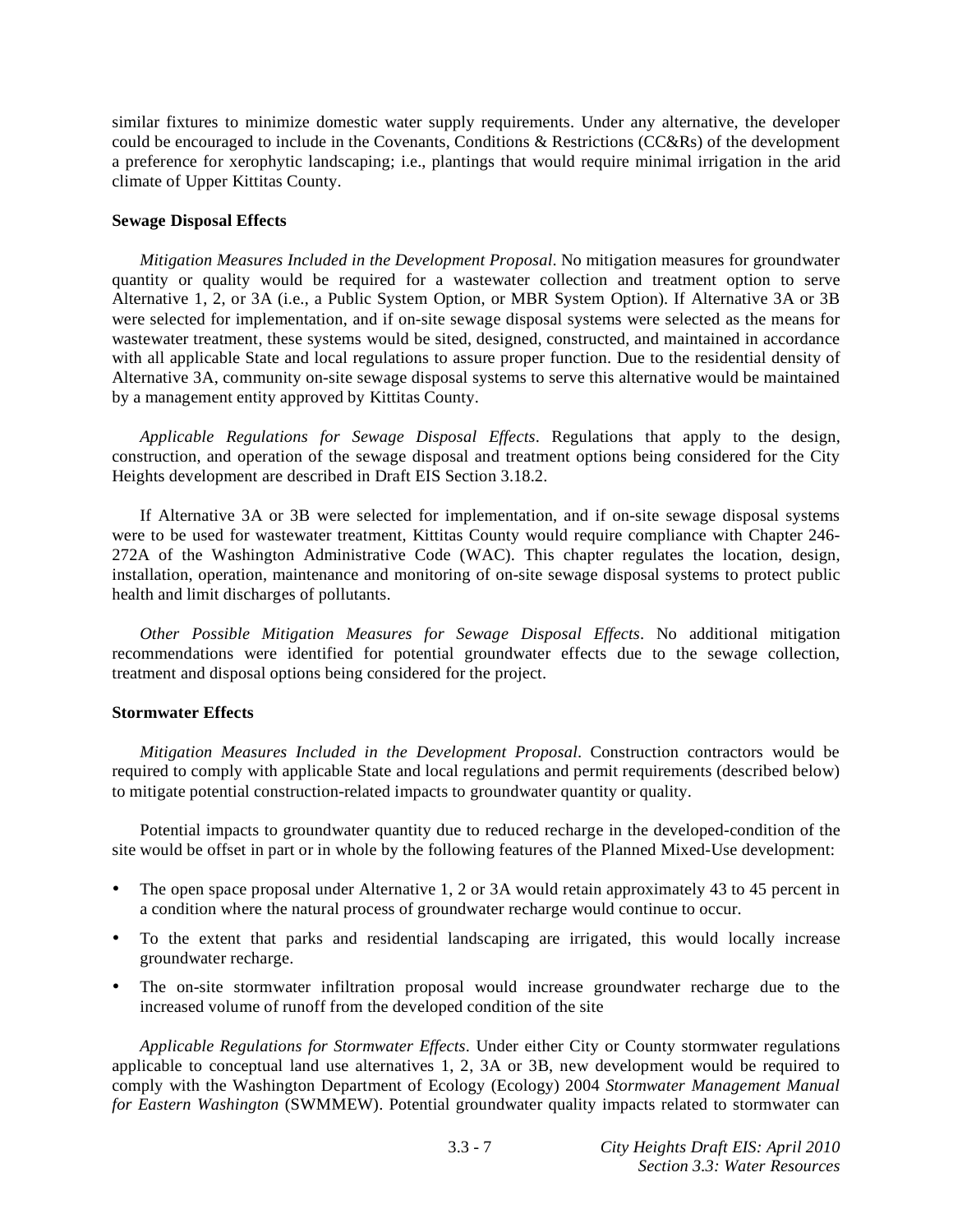similar fixtures to minimize domestic water supply requirements. Under any alternative, the developer could be encouraged to include in the Covenants, Conditions & Restrictions (CC&Rs) of the development a preference for xerophytic landscaping; i.e., plantings that would require minimal irrigation in the arid climate of Upper Kittitas County.

### **Sewage Disposal Effects**

*Mitigation Measures Included in the Development Proposal*. No mitigation measures for groundwater quantity or quality would be required for a wastewater collection and treatment option to serve Alternative 1, 2, or 3A (i.e., a Public System Option, or MBR System Option). If Alternative 3A or 3B were selected for implementation, and if on-site sewage disposal systems were selected as the means for wastewater treatment, these systems would be sited, designed, constructed, and maintained in accordance with all applicable State and local regulations to assure proper function. Due to the residential density of Alternative 3A, community on-site sewage disposal systems to serve this alternative would be maintained by a management entity approved by Kittitas County.

*Applicable Regulations for Sewage Disposal Effects*. Regulations that apply to the design, construction, and operation of the sewage disposal and treatment options being considered for the City Heights development are described in Draft EIS Section 3.18.2.

 If Alternative 3A or 3B were selected for implementation, and if on-site sewage disposal systems were to be used for wastewater treatment, Kittitas County would require compliance with Chapter 246- 272A of the Washington Administrative Code (WAC). This chapter regulates the location, design, installation, operation, maintenance and monitoring of on-site sewage disposal systems to protect public health and limit discharges of pollutants.

*Other Possible Mitigation Measures for Sewage Disposal Effects*. No additional mitigation recommendations were identified for potential groundwater effects due to the sewage collection, treatment and disposal options being considered for the project.

#### **Stormwater Effects**

*Mitigation Measures Included in the Development Proposal*. Construction contractors would be required to comply with applicable State and local regulations and permit requirements (described below) to mitigate potential construction-related impacts to groundwater quantity or quality.

 Potential impacts to groundwater quantity due to reduced recharge in the developed-condition of the site would be offset in part or in whole by the following features of the Planned Mixed-Use development:

- The open space proposal under Alternative 1, 2 or 3A would retain approximately 43 to 45 percent in a condition where the natural process of groundwater recharge would continue to occur.
- To the extent that parks and residential landscaping are irrigated, this would locally increase groundwater recharge.
- The on-site stormwater infiltration proposal would increase groundwater recharge due to the increased volume of runoff from the developed condition of the site

*Applicable Regulations for Stormwater Effects*. Under either City or County stormwater regulations applicable to conceptual land use alternatives 1, 2, 3A or 3B, new development would be required to comply with the Washington Department of Ecology (Ecology) 2004 *Stormwater Management Manual for Eastern Washington* (SWMMEW). Potential groundwater quality impacts related to stormwater can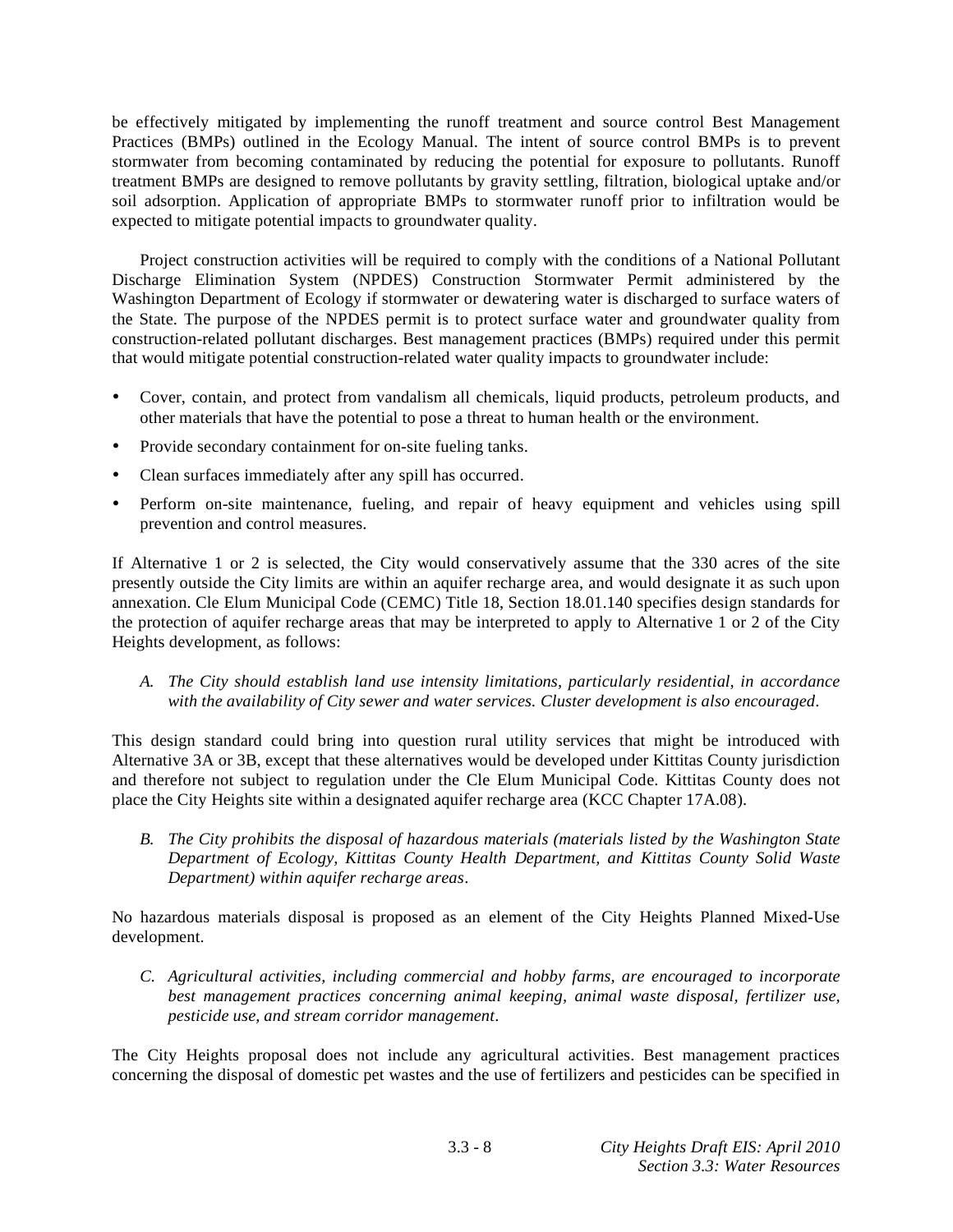be effectively mitigated by implementing the runoff treatment and source control Best Management Practices (BMPs) outlined in the Ecology Manual. The intent of source control BMPs is to prevent stormwater from becoming contaminated by reducing the potential for exposure to pollutants. Runoff treatment BMPs are designed to remove pollutants by gravity settling, filtration, biological uptake and/or soil adsorption. Application of appropriate BMPs to stormwater runoff prior to infiltration would be expected to mitigate potential impacts to groundwater quality.

 Project construction activities will be required to comply with the conditions of a National Pollutant Discharge Elimination System (NPDES) Construction Stormwater Permit administered by the Washington Department of Ecology if stormwater or dewatering water is discharged to surface waters of the State. The purpose of the NPDES permit is to protect surface water and groundwater quality from construction-related pollutant discharges. Best management practices (BMPs) required under this permit that would mitigate potential construction-related water quality impacts to groundwater include:

- Cover, contain, and protect from vandalism all chemicals, liquid products, petroleum products, and other materials that have the potential to pose a threat to human health or the environment.
- Provide secondary containment for on-site fueling tanks.
- Clean surfaces immediately after any spill has occurred.
- Perform on-site maintenance, fueling, and repair of heavy equipment and vehicles using spill prevention and control measures.

If Alternative 1 or 2 is selected, the City would conservatively assume that the 330 acres of the site presently outside the City limits are within an aquifer recharge area, and would designate it as such upon annexation. Cle Elum Municipal Code (CEMC) Title 18, Section 18.01.140 specifies design standards for the protection of aquifer recharge areas that may be interpreted to apply to Alternative 1 or 2 of the City Heights development, as follows:

*A. The City should establish land use intensity limitations, particularly residential, in accordance with the availability of City sewer and water services. Cluster development is also encouraged*.

This design standard could bring into question rural utility services that might be introduced with Alternative 3A or 3B, except that these alternatives would be developed under Kittitas County jurisdiction and therefore not subject to regulation under the Cle Elum Municipal Code. Kittitas County does not place the City Heights site within a designated aquifer recharge area (KCC Chapter 17A.08).

*B. The City prohibits the disposal of hazardous materials (materials listed by the Washington State Department of Ecology, Kittitas County Health Department, and Kittitas County Solid Waste Department) within aquifer recharge areas*.

No hazardous materials disposal is proposed as an element of the City Heights Planned Mixed-Use development.

*C. Agricultural activities, including commercial and hobby farms, are encouraged to incorporate best management practices concerning animal keeping, animal waste disposal, fertilizer use, pesticide use, and stream corridor management*.

The City Heights proposal does not include any agricultural activities. Best management practices concerning the disposal of domestic pet wastes and the use of fertilizers and pesticides can be specified in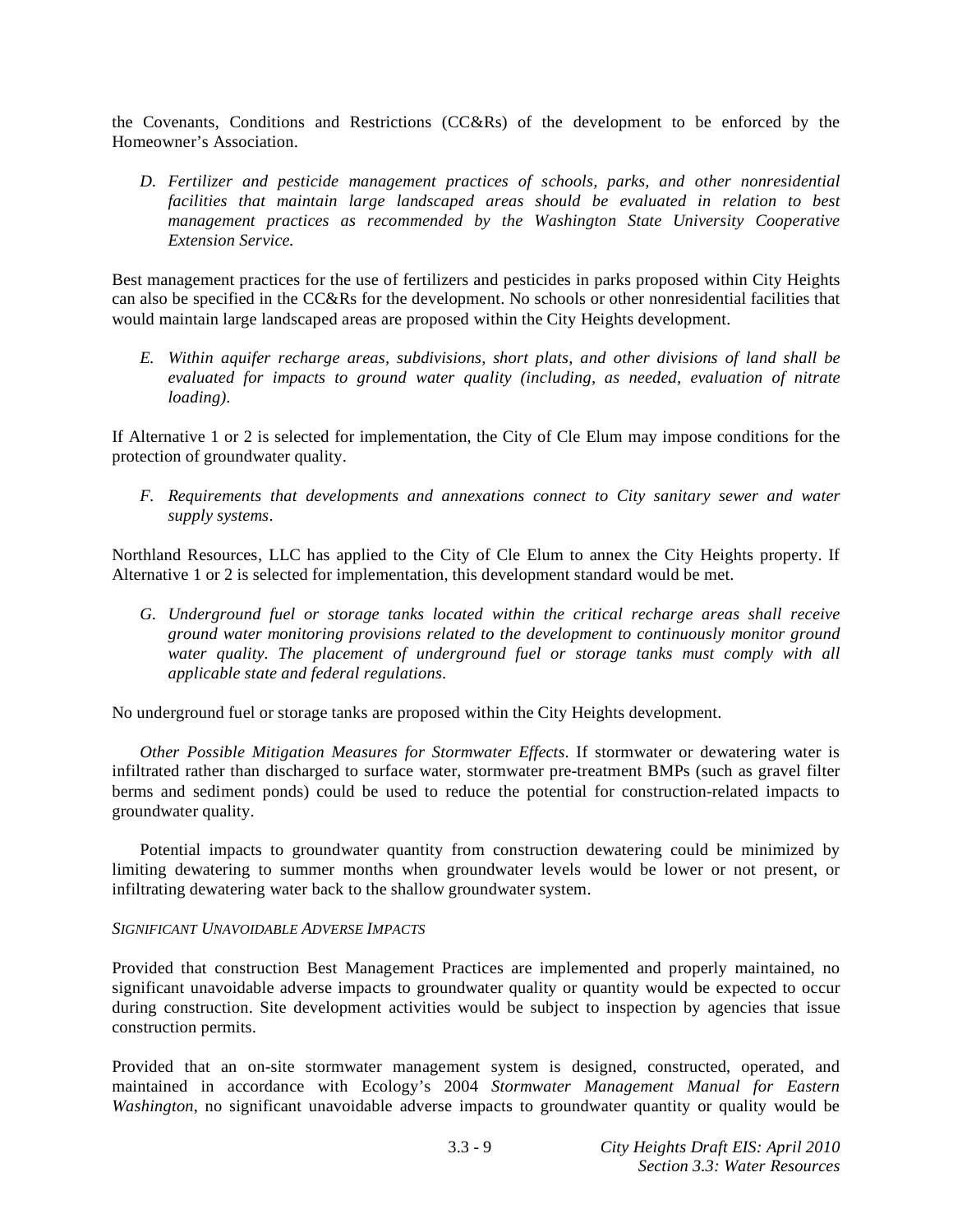the Covenants, Conditions and Restrictions (CC&Rs) of the development to be enforced by the Homeowner's Association.

*D. Fertilizer and pesticide management practices of schools, parks, and other nonresidential*  facilities that maintain large landscaped areas should be evaluated in relation to best *management practices as recommended by the Washington State University Cooperative Extension Service.* 

Best management practices for the use of fertilizers and pesticides in parks proposed within City Heights can also be specified in the CC&Rs for the development. No schools or other nonresidential facilities that would maintain large landscaped areas are proposed within the City Heights development.

*E. Within aquifer recharge areas, subdivisions, short plats, and other divisions of land shall be evaluated for impacts to ground water quality (including, as needed, evaluation of nitrate loading)*.

If Alternative 1 or 2 is selected for implementation, the City of Cle Elum may impose conditions for the protection of groundwater quality.

*F. Requirements that developments and annexations connect to City sanitary sewer and water supply systems*.

Northland Resources, LLC has applied to the City of Cle Elum to annex the City Heights property. If Alternative 1 or 2 is selected for implementation, this development standard would be met.

*G. Underground fuel or storage tanks located within the critical recharge areas shall receive ground water monitoring provisions related to the development to continuously monitor ground water quality. The placement of underground fuel or storage tanks must comply with all applicable state and federal regulations*.

No underground fuel or storage tanks are proposed within the City Heights development.

*Other Possible Mitigation Measures for Stormwater Effects*. If stormwater or dewatering water is infiltrated rather than discharged to surface water, stormwater pre-treatment BMPs (such as gravel filter berms and sediment ponds) could be used to reduce the potential for construction-related impacts to groundwater quality.

 Potential impacts to groundwater quantity from construction dewatering could be minimized by limiting dewatering to summer months when groundwater levels would be lower or not present, or infiltrating dewatering water back to the shallow groundwater system.

## *SIGNIFICANT UNAVOIDABLE ADVERSE IMPACTS*

Provided that construction Best Management Practices are implemented and properly maintained, no significant unavoidable adverse impacts to groundwater quality or quantity would be expected to occur during construction. Site development activities would be subject to inspection by agencies that issue construction permits.

Provided that an on-site stormwater management system is designed, constructed, operated, and maintained in accordance with Ecology's 2004 *Stormwater Management Manual for Eastern Washington*, no significant unavoidable adverse impacts to groundwater quantity or quality would be